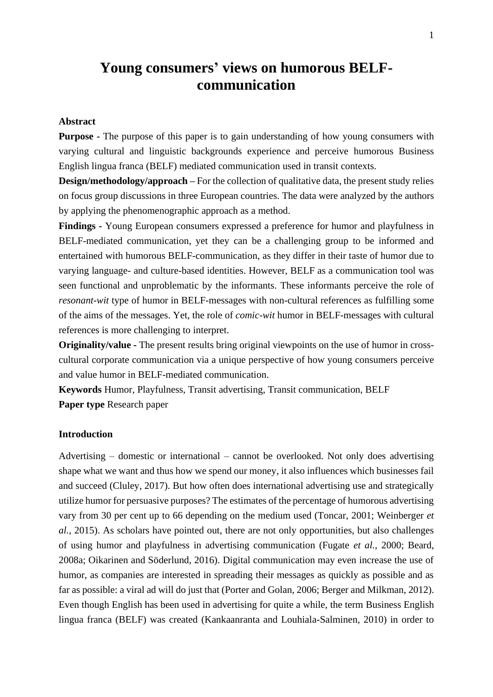# **Young consumers' views on humorous BELFcommunication**

## **Abstract**

**Purpose** - The purpose of this paper is to gain understanding of how young consumers with varying cultural and linguistic backgrounds experience and perceive humorous Business English lingua franca (BELF) mediated communication used in transit contexts.

**Design/methodology/approach** – For the collection of qualitative data, the present study relies on focus group discussions in three European countries. The data were analyzed by the authors by applying the phenomenographic approach as a method.

**Findings -** Young European consumers expressed a preference for humor and playfulness in BELF-mediated communication, yet they can be a challenging group to be informed and entertained with humorous BELF-communication, as they differ in their taste of humor due to varying language- and culture-based identities. However, BELF as a communication tool was seen functional and unproblematic by the informants. These informants perceive the role of *resonant-wit* type of humor in BELF-messages with non-cultural references as fulfilling some of the aims of the messages. Yet, the role of *comic-wit* humor in BELF-messages with cultural references is more challenging to interpret.

**Originality/value -** The present results bring original viewpoints on the use of humor in crosscultural corporate communication via a unique perspective of how young consumers perceive and value humor in BELF-mediated communication.

**Keywords** Humor, Playfulness, Transit advertising, Transit communication, BELF **Paper type** Research paper

# **Introduction**

Advertising – domestic or international – cannot be overlooked. Not only does advertising shape what we want and thus how we spend our money, it also influences which businesses fail and succeed (Cluley, 2017). But how often does international advertising use and strategically utilize humor for persuasive purposes? The estimates of the percentage of humorous advertising vary from 30 per cent up to 66 depending on the medium used (Toncar, 2001; Weinberger *et al.*, 2015). As scholars have pointed out, there are not only opportunities, but also challenges of using humor and playfulness in advertising communication (Fugate *et al.*, 2000; Beard, 2008a; Oikarinen and Söderlund, 2016). Digital communication may even increase the use of humor, as companies are interested in spreading their messages as quickly as possible and as far as possible: a viral ad will do just that (Porter and Golan, 2006; Berger and Milkman, 2012). Even though English has been used in advertising for quite a while, the term Business English lingua franca (BELF) was created (Kankaanranta and Louhiala-Salminen, 2010) in order to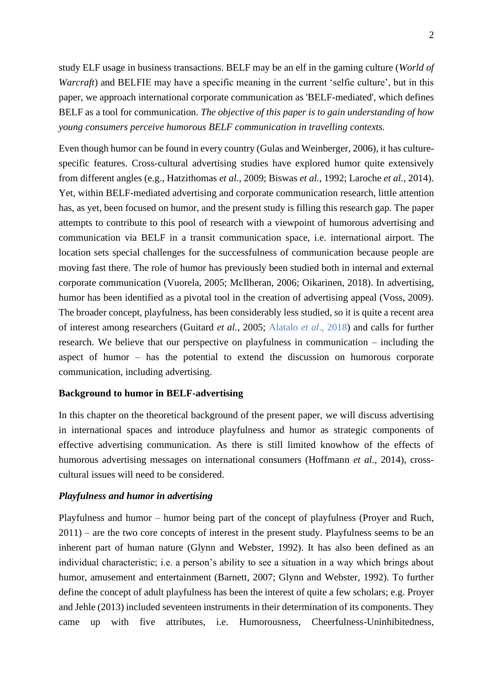study ELF usage in business transactions. BELF may be an elf in the gaming culture (*World of Warcraft*) and BELFIE may have a specific meaning in the current 'selfie culture', but in this paper, we approach international corporate communication as 'BELF-mediated', which defines BELF as a tool for communication. *The objective of this paper is to gain understanding of how young consumers perceive humorous BELF communication in travelling contexts.*

Even though humor can be found in every country (Gulas and Weinberger, 2006), it has culturespecific features. Cross-cultural advertising studies have explored humor quite extensively from different angles (e.g., Hatzithomas *et al.*, 2009; Biswas *et al.*, 1992; Laroche *et al.*, 2014). Yet, within BELF-mediated advertising and corporate communication research, little attention has, as yet, been focused on humor, and the present study is filling this research gap. The paper attempts to contribute to this pool of research with a viewpoint of humorous advertising and communication via BELF in a transit communication space, i.e. international airport. The location sets special challenges for the successfulness of communication because people are moving fast there. The role of humor has previously been studied both in internal and external corporate communication (Vuorela, 2005; McIlheran, 2006; Oikarinen, 2018). In advertising, humor has been identified as a pivotal tool in the creation of advertising appeal (Voss, 2009). The broader concept, playfulness, has been considerably less studied, so it is quite a recent area of interest among researchers (Guitard *et al.*, 2005; Alatalo *et al*., 2018) and calls for further research. We believe that our perspective on playfulness in communication – including the aspect of humor – has the potential to extend the discussion on humorous corporate communication, including advertising.

# **Background to humor in BELF-advertising**

In this chapter on the theoretical background of the present paper, we will discuss advertising in international spaces and introduce playfulness and humor as strategic components of effective advertising communication. As there is still limited knowhow of the effects of humorous advertising messages on international consumers (Hoffmann *et al.*, 2014), crosscultural issues will need to be considered.

# *Playfulness and humor in advertising*

Playfulness and humor – humor being part of the concept of playfulness (Proyer and Ruch,  $2011$ ) – are the two core concepts of interest in the present study. Playfulness seems to be an inherent part of human nature (Glynn and Webster, 1992). It has also been defined as an individual characteristic; i.e. a person's ability to see a situation in a way which brings about humor, amusement and entertainment (Barnett, 2007; Glynn and Webster, 1992). To further define the concept of adult playfulness has been the interest of quite a few scholars; e.g. Proyer and Jehle (2013) included seventeen instruments in their determination of its components. They came up with five attributes, i.e. Humorousness, Cheerfulness-Uninhibitedness,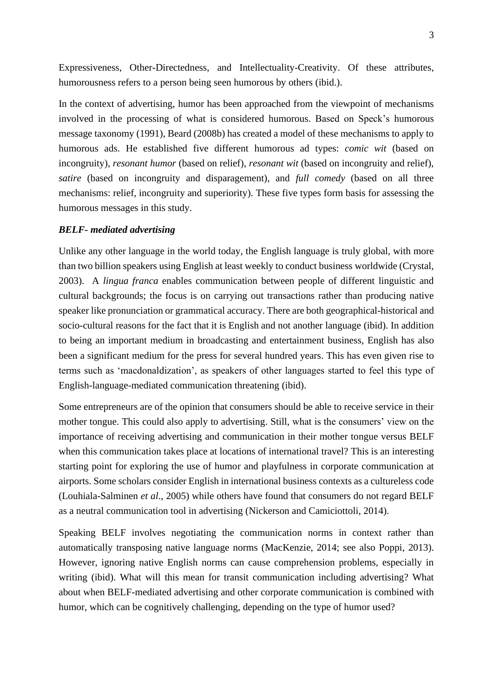Expressiveness, Other-Directedness, and Intellectuality-Creativity. Of these attributes, humorousness refers to a person being seen humorous by others (ibid.).

In the context of advertising, humor has been approached from the viewpoint of mechanisms involved in the processing of what is considered humorous. Based on Speck's humorous message taxonomy (1991), Beard (2008b) has created a model of these mechanisms to apply to humorous ads. He established five different humorous ad types: *comic wit* (based on incongruity), *resonant humor* (based on relief), *resonant wit* (based on incongruity and relief), *satire* (based on incongruity and disparagement), and *full comedy* (based on all three mechanisms: relief, incongruity and superiority). These five types form basis for assessing the humorous messages in this study.

# *BELF- mediated advertising*

Unlike any other language in the world today, the English language is truly global, with more than two billion speakers using English at least weekly to conduct business worldwide (Crystal, 2003). A *lingua franca* enables communication between people of different linguistic and cultural backgrounds; the focus is on carrying out transactions rather than producing native speaker like pronunciation or grammatical accuracy. There are both geographical-historical and socio-cultural reasons for the fact that it is English and not another language (ibid). In addition to being an important medium in broadcasting and entertainment business, English has also been a significant medium for the press for several hundred years. This has even given rise to terms such as 'macdonaldization', as speakers of other languages started to feel this type of English-language-mediated communication threatening (ibid).

Some entrepreneurs are of the opinion that consumers should be able to receive service in their mother tongue. This could also apply to advertising. Still, what is the consumers' view on the importance of receiving advertising and communication in their mother tongue versus BELF when this communication takes place at locations of international travel? This is an interesting starting point for exploring the use of humor and playfulness in corporate communication at airports. Some scholars consider English in international business contexts as a cultureless code (Louhiala-Salminen *et al.*, 2005) while others have found that consumers do not regard BELF as a neutral communication tool in advertising (Nickerson and Camiciottoli, 2014).

Speaking BELF involves negotiating the communication norms in context rather than automatically transposing native language norms (MacKenzie, 2014; see also Poppi, 2013). However, ignoring native English norms can cause comprehension problems, especially in writing (ibid). What will this mean for transit communication including advertising? What about when BELF-mediated advertising and other corporate communication is combined with humor, which can be cognitively challenging, depending on the type of humor used?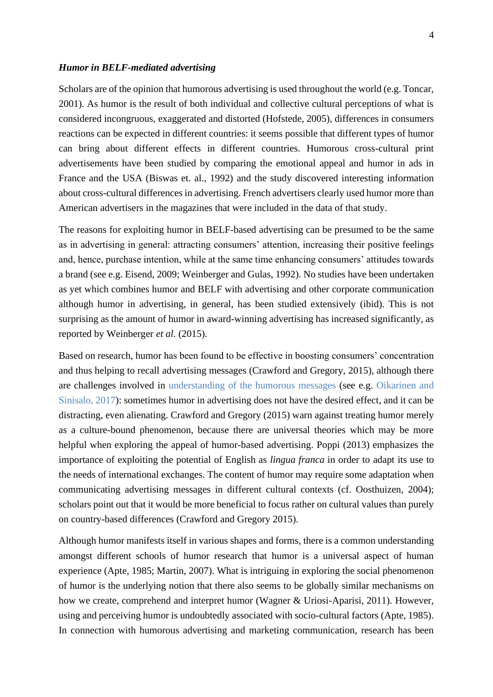## *Humor in BELF-mediated advertising*

Scholars are of the opinion that humorous advertising is used throughout the world (e.g. Toncar, 2001). As humor is the result of both individual and collective cultural perceptions of what is considered incongruous, exaggerated and distorted (Hofstede, 2005), differences in consumers reactions can be expected in different countries: it seems possible that different types of humor can bring about different effects in different countries. Humorous cross-cultural print advertisements have been studied by comparing the emotional appeal and humor in ads in France and the USA (Biswas et. al., 1992) and the study discovered interesting information about cross-cultural differences in advertising. French advertisers clearly used humor more than American advertisers in the magazines that were included in the data of that study.

The reasons for exploiting humor in BELF-based advertising can be presumed to be the same as in advertising in general: attracting consumers' attention, increasing their positive feelings and, hence, purchase intention, while at the same time enhancing consumers' attitudes towards a brand (see e.g. Eisend, 2009; Weinberger and Gulas, 1992). No studies have been undertaken as yet which combines humor and BELF with advertising and other corporate communication although humor in advertising, in general, has been studied extensively (ibid). This is not surprising as the amount of humor in award-winning advertising has increased significantly, as reported by Weinberger *et al.* (2015).

Based on research, humor has been found to be effective in boosting consumers' concentration and thus helping to recall advertising messages (Crawford and Gregory, 2015), although there are challenges involved in understanding of the humorous messages (see e.g. Oikarinen and Sinisalo, 2017): sometimes humor in advertising does not have the desired effect, and it can be distracting, even alienating. Crawford and Gregory (2015) warn against treating humor merely as a culture-bound phenomenon, because there are universal theories which may be more helpful when exploring the appeal of humor-based advertising. Poppi (2013) emphasizes the importance of exploiting the potential of English as *lingua franca* in order to adapt its use to the needs of international exchanges. The content of humor may require some adaptation when communicating advertising messages in different cultural contexts (cf. Oosthuizen, 2004); scholars point out that it would be more beneficial to focus rather on cultural values than purely on country-based differences (Crawford and Gregory 2015).

Although humor manifests itself in various shapes and forms, there is a common understanding amongst different schools of humor research that humor is a universal aspect of human experience (Apte, 1985; Martin, 2007). What is intriguing in exploring the social phenomenon of humor is the underlying notion that there also seems to be globally similar mechanisms on how we create, comprehend and interpret humor (Wagner & Uriosi-Aparisi, 2011). However, using and perceiving humor is undoubtedly associated with socio-cultural factors (Apte, 1985). In connection with humorous advertising and marketing communication, research has been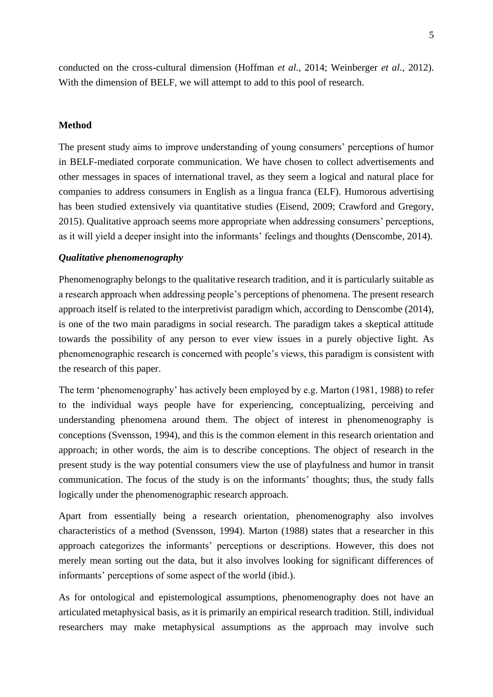conducted on the cross-cultural dimension (Hoffman *et al.*, 2014; Weinberger *et al.*, 2012). With the dimension of BELF, we will attempt to add to this pool of research.

# **Method**

The present study aims to improve understanding of young consumers' perceptions of humor in BELF-mediated corporate communication. We have chosen to collect advertisements and other messages in spaces of international travel, as they seem a logical and natural place for companies to address consumers in English as a lingua franca (ELF). Humorous advertising has been studied extensively via quantitative studies (Eisend, 2009; Crawford and Gregory, 2015). Qualitative approach seems more appropriate when addressing consumers' perceptions, as it will yield a deeper insight into the informants' feelings and thoughts (Denscombe, 2014).

## *Qualitative phenomenography*

Phenomenography belongs to the qualitative research tradition, and it is particularly suitable as a research approach when addressing people's perceptions of phenomena. The present research approach itself is related to the interpretivist paradigm which, according to Denscombe (2014), is one of the two main paradigms in social research. The paradigm takes a skeptical attitude towards the possibility of any person to ever view issues in a purely objective light. As phenomenographic research is concerned with people's views, this paradigm is consistent with the research of this paper.

The term 'phenomenography' has actively been employed by e.g. Marton (1981, 1988) to refer to the individual ways people have for experiencing, conceptualizing, perceiving and understanding phenomena around them. The object of interest in phenomenography is conceptions (Svensson, 1994), and this is the common element in this research orientation and approach; in other words, the aim is to describe conceptions. The object of research in the present study is the way potential consumers view the use of playfulness and humor in transit communication. The focus of the study is on the informants' thoughts; thus, the study falls logically under the phenomenographic research approach.

Apart from essentially being a research orientation, phenomenography also involves characteristics of a method (Svensson, 1994). Marton (1988) states that a researcher in this approach categorizes the informants' perceptions or descriptions. However, this does not merely mean sorting out the data, but it also involves looking for significant differences of informants' perceptions of some aspect of the world (ibid.).

As for ontological and epistemological assumptions, phenomenography does not have an articulated metaphysical basis, as it is primarily an empirical research tradition. Still, individual researchers may make metaphysical assumptions as the approach may involve such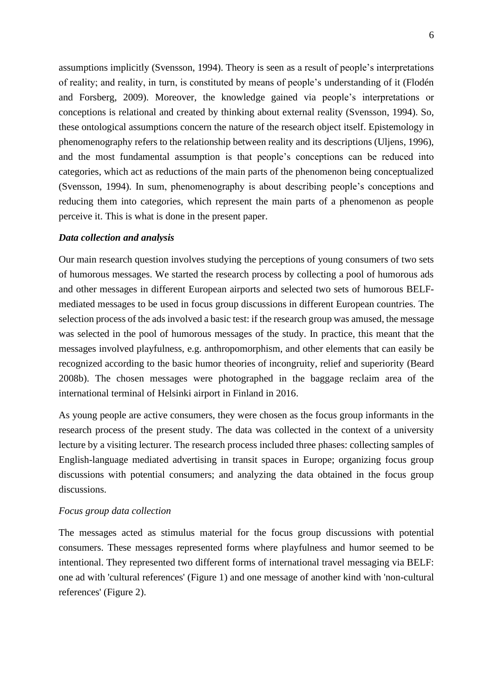assumptions implicitly (Svensson, 1994). Theory is seen as a result of people's interpretations of reality; and reality, in turn, is constituted by means of people's understanding of it (Flodén and Forsberg, 2009). Moreover, the knowledge gained via people's interpretations or conceptions is relational and created by thinking about external reality (Svensson, 1994). So, these ontological assumptions concern the nature of the research object itself. Epistemology in phenomenography refers to the relationship between reality and its descriptions (Uljens, 1996), and the most fundamental assumption is that people's conceptions can be reduced into categories, which act as reductions of the main parts of the phenomenon being conceptualized (Svensson, 1994). In sum, phenomenography is about describing people's conceptions and reducing them into categories, which represent the main parts of a phenomenon as people perceive it. This is what is done in the present paper.

## *Data collection and analysis*

Our main research question involves studying the perceptions of young consumers of two sets of humorous messages. We started the research process by collecting a pool of humorous ads and other messages in different European airports and selected two sets of humorous BELFmediated messages to be used in focus group discussions in different European countries. The selection process of the ads involved a basic test: if the research group was amused, the message was selected in the pool of humorous messages of the study. In practice, this meant that the messages involved playfulness, e.g. anthropomorphism, and other elements that can easily be recognized according to the basic humor theories of incongruity, relief and superiority (Beard 2008b). The chosen messages were photographed in the baggage reclaim area of the international terminal of Helsinki airport in Finland in 2016.

As young people are active consumers, they were chosen as the focus group informants in the research process of the present study. The data was collected in the context of a university lecture by a visiting lecturer. The research process included three phases: collecting samples of English-language mediated advertising in transit spaces in Europe; organizing focus group discussions with potential consumers; and analyzing the data obtained in the focus group discussions.

## *Focus group data collection*

The messages acted as stimulus material for the focus group discussions with potential consumers. These messages represented forms where playfulness and humor seemed to be intentional. They represented two different forms of international travel messaging via BELF: one ad with 'cultural references' (Figure 1) and one message of another kind with 'non-cultural references' (Figure 2).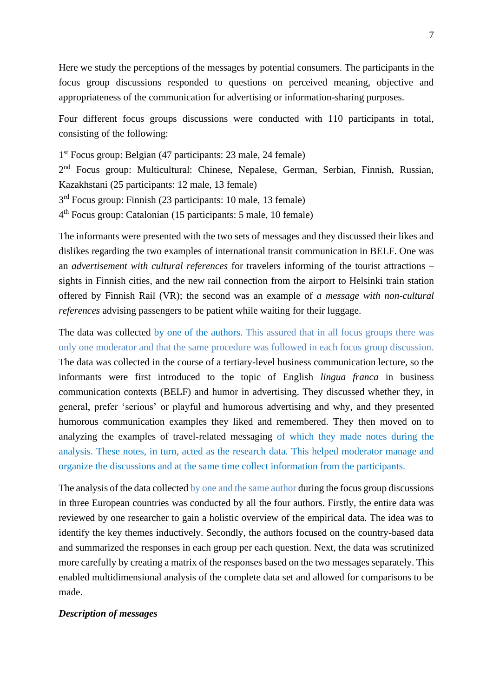Here we study the perceptions of the messages by potential consumers. The participants in the focus group discussions responded to questions on perceived meaning, objective and appropriateness of the communication for advertising or information-sharing purposes.

Four different focus groups discussions were conducted with 110 participants in total, consisting of the following:

1 st Focus group: Belgian (47 participants: 23 male, 24 female) 2<sup>nd</sup> Focus group: Multicultural: Chinese, Nepalese, German, Serbian, Finnish, Russian, Kazakhstani (25 participants: 12 male, 13 female) 3<sup>rd</sup> Focus group: Finnish (23 participants: 10 male, 13 female) 4 th Focus group: Catalonian (15 participants: 5 male, 10 female)

The informants were presented with the two sets of messages and they discussed their likes and dislikes regarding the two examples of international transit communication in BELF. One was an *advertisement with cultural references* for travelers informing of the tourist attractions – sights in Finnish cities, and the new rail connection from the airport to Helsinki train station offered by Finnish Rail (VR); the second was an example of *a message with non-cultural references* advising passengers to be patient while waiting for their luggage.

The data was collected by one of the authors. This assured that in all focus groups there was only one moderator and that the same procedure was followed in each focus group discussion. The data was collected in the course of a tertiary-level business communication lecture, so the informants were first introduced to the topic of English *lingua franca* in business communication contexts (BELF) and humor in advertising. They discussed whether they, in general, prefer 'serious' or playful and humorous advertising and why, and they presented humorous communication examples they liked and remembered. They then moved on to analyzing the examples of travel-related messaging of which they made notes during the analysis. These notes, in turn, acted as the research data. This helped moderator manage and organize the discussions and at the same time collect information from the participants.

The analysis of the data collected by one and the same author during the focus group discussions in three European countries was conducted by all the four authors. Firstly, the entire data was reviewed by one researcher to gain a holistic overview of the empirical data. The idea was to identify the key themes inductively. Secondly, the authors focused on the country-based data and summarized the responses in each group per each question. Next, the data was scrutinized more carefully by creating a matrix of the responses based on the two messages separately. This enabled multidimensional analysis of the complete data set and allowed for comparisons to be made.

# *Description of messages*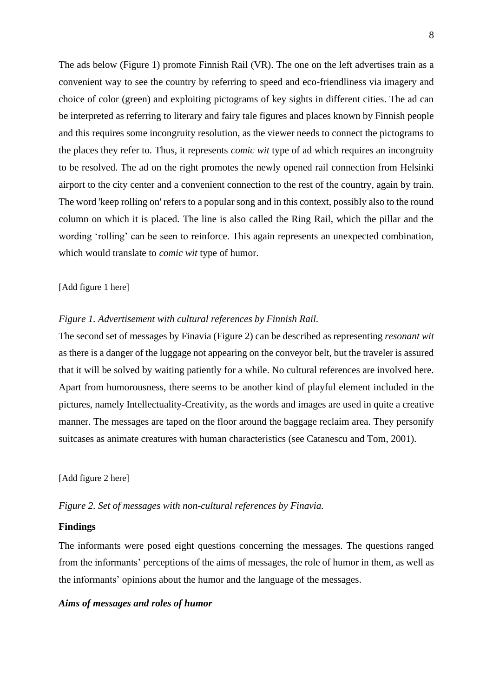The ads below (Figure 1) promote Finnish Rail (VR). The one on the left advertises train as a convenient way to see the country by referring to speed and eco-friendliness via imagery and choice of color (green) and exploiting pictograms of key sights in different cities. The ad can be interpreted as referring to literary and fairy tale figures and places known by Finnish people and this requires some incongruity resolution, as the viewer needs to connect the pictograms to the places they refer to. Thus, it represents *comic wit* type of ad which requires an incongruity to be resolved. The ad on the right promotes the newly opened rail connection from Helsinki airport to the city center and a convenient connection to the rest of the country, again by train. The word 'keep rolling on' refers to a popular song and in this context, possibly also to the round column on which it is placed. The line is also called the Ring Rail, which the pillar and the wording 'rolling' can be seen to reinforce. This again represents an unexpected combination, which would translate to *comic wit* type of humor.

## [Add figure 1 here]

## *Figure 1. Advertisement with cultural references by Finnish Rail.*

The second set of messages by Finavia (Figure 2) can be described as representing *resonant wit*  as there is a danger of the luggage not appearing on the conveyor belt, but the traveler is assured that it will be solved by waiting patiently for a while. No cultural references are involved here. Apart from humorousness, there seems to be another kind of playful element included in the pictures, namely Intellectuality-Creativity, as the words and images are used in quite a creative manner. The messages are taped on the floor around the baggage reclaim area. They personify suitcases as animate creatures with human characteristics (see Catanescu and Tom, 2001).

[Add figure 2 here]

*Figure 2. Set of messages with non-cultural references by Finavia.*

#### **Findings**

The informants were posed eight questions concerning the messages. The questions ranged from the informants' perceptions of the aims of messages, the role of humor in them, as well as the informants' opinions about the humor and the language of the messages.

## *Aims of messages and roles of humor*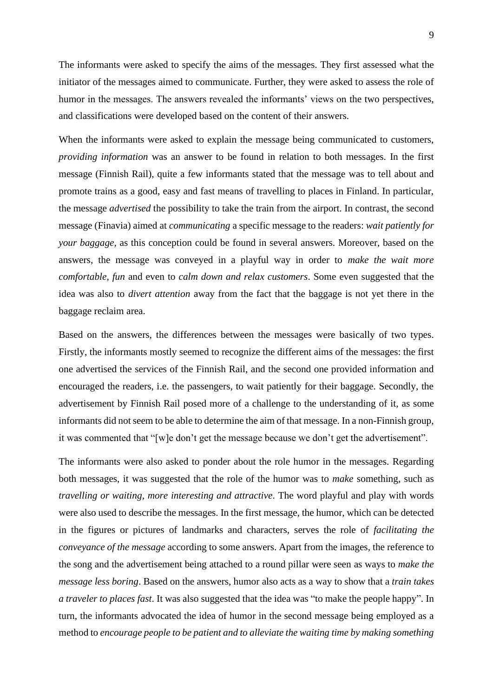The informants were asked to specify the aims of the messages. They first assessed what the initiator of the messages aimed to communicate. Further, they were asked to assess the role of humor in the messages. The answers revealed the informants' views on the two perspectives, and classifications were developed based on the content of their answers.

When the informants were asked to explain the message being communicated to customers, *providing information* was an answer to be found in relation to both messages. In the first message (Finnish Rail), quite a few informants stated that the message was to tell about and promote trains as a good, easy and fast means of travelling to places in Finland. In particular, the message *advertised* the possibility to take the train from the airport. In contrast, the second message (Finavia) aimed at *communicating* a specific message to the readers: *wait patiently for your baggage,* as this conception could be found in several answers. Moreover, based on the answers, the message was conveyed in a playful way in order to *make the wait more comfortable*, *fun* and even to *calm down and relax customers*. Some even suggested that the idea was also to *divert attention* away from the fact that the baggage is not yet there in the baggage reclaim area.

Based on the answers, the differences between the messages were basically of two types. Firstly, the informants mostly seemed to recognize the different aims of the messages: the first one advertised the services of the Finnish Rail, and the second one provided information and encouraged the readers, i.e. the passengers, to wait patiently for their baggage. Secondly, the advertisement by Finnish Rail posed more of a challenge to the understanding of it, as some informants did not seem to be able to determine the aim of that message. In a non-Finnish group, it was commented that "[w]e don't get the message because we don't get the advertisement".

The informants were also asked to ponder about the role humor in the messages. Regarding both messages, it was suggested that the role of the humor was to *make* something, such as *travelling or waiting, more interesting and attractive*. The word playful and play with words were also used to describe the messages. In the first message, the humor, which can be detected in the figures or pictures of landmarks and characters, serves the role of *facilitating the conveyance of the message* according to some answers. Apart from the images, the reference to the song and the advertisement being attached to a round pillar were seen as ways to *make the message less boring*. Based on the answers, humor also acts as a way to show that a *train takes a traveler to places fast*. It was also suggested that the idea was "to make the people happy". In turn, the informants advocated the idea of humor in the second message being employed as a method to *encourage people to be patient and to alleviate the waiting time by making something*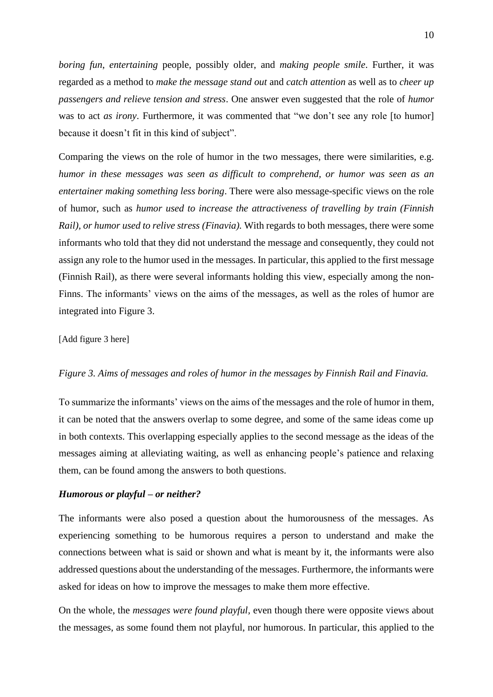*boring fun*, *entertaining* people, possibly older, and *making people smile*. Further, it was regarded as a method to *make the message stand out* and *catch attention* as well as to *cheer up passengers and relieve tension and stress*. One answer even suggested that the role of *humor* was to act *as irony*. Furthermore, it was commented that "we don't see any role [to humor] because it doesn't fit in this kind of subject".

Comparing the views on the role of humor in the two messages, there were similarities, e.g. *humor in these messages was seen as difficult to comprehend, or humor was seen as an entertainer making something less boring*. There were also message-specific views on the role of humor, such as *humor used to increase the attractiveness of travelling by train (Finnish Rail), or humor used to relive stress (Finavia).* With regards to both messages, there were some informants who told that they did not understand the message and consequently, they could not assign any role to the humor used in the messages. In particular, this applied to the first message (Finnish Rail), as there were several informants holding this view, especially among the non-Finns. The informants' views on the aims of the messages, as well as the roles of humor are integrated into Figure 3.

# [Add figure 3 here]

#### *Figure 3. Aims of messages and roles of humor in the messages by Finnish Rail and Finavia.*

To summarize the informants' views on the aims of the messages and the role of humor in them, it can be noted that the answers overlap to some degree, and some of the same ideas come up in both contexts. This overlapping especially applies to the second message as the ideas of the messages aiming at alleviating waiting, as well as enhancing people's patience and relaxing them, can be found among the answers to both questions.

### *Humorous or playful – or neither?*

The informants were also posed a question about the humorousness of the messages. As experiencing something to be humorous requires a person to understand and make the connections between what is said or shown and what is meant by it, the informants were also addressed questions about the understanding of the messages. Furthermore, the informants were asked for ideas on how to improve the messages to make them more effective.

On the whole, the *messages were found playful,* even though there were opposite views about the messages, as some found them not playful, nor humorous. In particular, this applied to the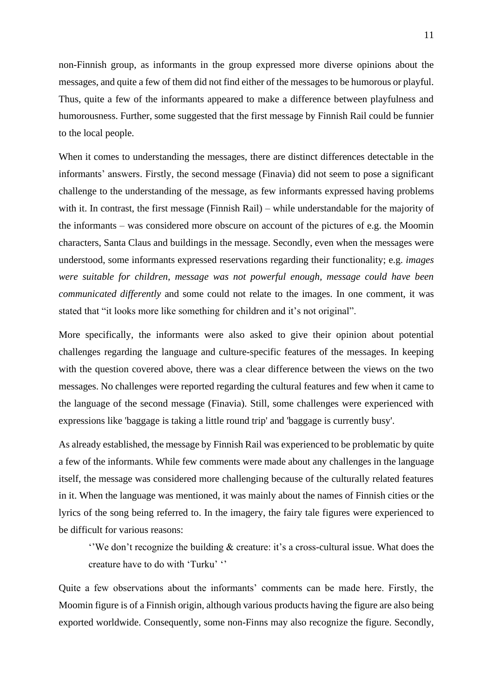non-Finnish group, as informants in the group expressed more diverse opinions about the messages, and quite a few of them did not find either of the messages to be humorous or playful. Thus, quite a few of the informants appeared to make a difference between playfulness and humorousness. Further, some suggested that the first message by Finnish Rail could be funnier to the local people.

When it comes to understanding the messages, there are distinct differences detectable in the informants' answers. Firstly, the second message (Finavia) did not seem to pose a significant challenge to the understanding of the message, as few informants expressed having problems with it. In contrast, the first message (Finnish Rail) – while understandable for the majority of the informants – was considered more obscure on account of the pictures of e.g. the Moomin characters, Santa Claus and buildings in the message. Secondly, even when the messages were understood, some informants expressed reservations regarding their functionality; e.g. *images were suitable for children, message was not powerful enough, message could have been communicated differently* and some could not relate to the images. In one comment, it was stated that "it looks more like something for children and it's not original".

More specifically, the informants were also asked to give their opinion about potential challenges regarding the language and culture-specific features of the messages. In keeping with the question covered above, there was a clear difference between the views on the two messages. No challenges were reported regarding the cultural features and few when it came to the language of the second message (Finavia). Still, some challenges were experienced with expressions like 'baggage is taking a little round trip' and 'baggage is currently busy'.

As already established, the message by Finnish Rail was experienced to be problematic by quite a few of the informants. While few comments were made about any challenges in the language itself, the message was considered more challenging because of the culturally related features in it. When the language was mentioned, it was mainly about the names of Finnish cities or the lyrics of the song being referred to. In the imagery, the fairy tale figures were experienced to be difficult for various reasons:

''We don't recognize the building & creature: it's a cross-cultural issue. What does the creature have to do with 'Turku' ''

Quite a few observations about the informants' comments can be made here. Firstly, the Moomin figure is of a Finnish origin, although various products having the figure are also being exported worldwide. Consequently, some non-Finns may also recognize the figure. Secondly,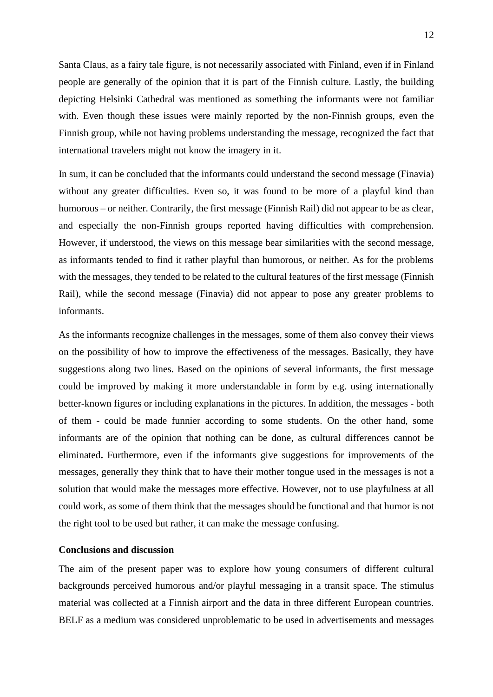Santa Claus, as a fairy tale figure, is not necessarily associated with Finland, even if in Finland people are generally of the opinion that it is part of the Finnish culture. Lastly, the building depicting Helsinki Cathedral was mentioned as something the informants were not familiar with. Even though these issues were mainly reported by the non-Finnish groups, even the Finnish group, while not having problems understanding the message, recognized the fact that international travelers might not know the imagery in it.

In sum, it can be concluded that the informants could understand the second message (Finavia) without any greater difficulties. Even so, it was found to be more of a playful kind than humorous – or neither. Contrarily, the first message (Finnish Rail) did not appear to be as clear, and especially the non-Finnish groups reported having difficulties with comprehension. However, if understood, the views on this message bear similarities with the second message, as informants tended to find it rather playful than humorous, or neither. As for the problems with the messages, they tended to be related to the cultural features of the first message (Finnish Rail), while the second message (Finavia) did not appear to pose any greater problems to informants.

As the informants recognize challenges in the messages, some of them also convey their views on the possibility of how to improve the effectiveness of the messages. Basically, they have suggestions along two lines. Based on the opinions of several informants, the first message could be improved by making it more understandable in form by e.g. using internationally better-known figures or including explanations in the pictures. In addition, the messages - both of them - could be made funnier according to some students. On the other hand, some informants are of the opinion that nothing can be done, as cultural differences cannot be eliminated**.** Furthermore, even if the informants give suggestions for improvements of the messages, generally they think that to have their mother tongue used in the messages is not a solution that would make the messages more effective. However, not to use playfulness at all could work, as some of them think that the messages should be functional and that humor is not the right tool to be used but rather, it can make the message confusing.

# **Conclusions and discussion**

The aim of the present paper was to explore how young consumers of different cultural backgrounds perceived humorous and/or playful messaging in a transit space. The stimulus material was collected at a Finnish airport and the data in three different European countries. BELF as a medium was considered unproblematic to be used in advertisements and messages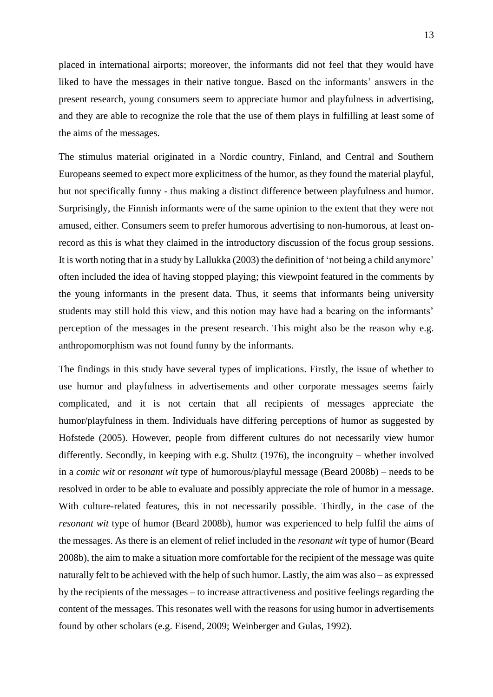placed in international airports; moreover, the informants did not feel that they would have liked to have the messages in their native tongue. Based on the informants' answers in the present research, young consumers seem to appreciate humor and playfulness in advertising, and they are able to recognize the role that the use of them plays in fulfilling at least some of the aims of the messages.

The stimulus material originated in a Nordic country, Finland, and Central and Southern Europeans seemed to expect more explicitness of the humor, as they found the material playful, but not specifically funny - thus making a distinct difference between playfulness and humor. Surprisingly, the Finnish informants were of the same opinion to the extent that they were not amused, either. Consumers seem to prefer humorous advertising to non-humorous, at least onrecord as this is what they claimed in the introductory discussion of the focus group sessions. It is worth noting that in a study by Lallukka (2003) the definition of 'not being a child anymore' often included the idea of having stopped playing; this viewpoint featured in the comments by the young informants in the present data. Thus, it seems that informants being university students may still hold this view, and this notion may have had a bearing on the informants' perception of the messages in the present research. This might also be the reason why e.g. anthropomorphism was not found funny by the informants.

The findings in this study have several types of implications. Firstly, the issue of whether to use humor and playfulness in advertisements and other corporate messages seems fairly complicated, and it is not certain that all recipients of messages appreciate the humor/playfulness in them. Individuals have differing perceptions of humor as suggested by Hofstede (2005). However, people from different cultures do not necessarily view humor differently. Secondly, in keeping with e.g. Shultz (1976), the incongruity – whether involved in a *comic wit* or *resonant wit* type of humorous/playful message (Beard 2008b) – needs to be resolved in order to be able to evaluate and possibly appreciate the role of humor in a message. With culture-related features, this in not necessarily possible. Thirdly, in the case of the *resonant wit* type of humor (Beard 2008b), humor was experienced to help fulfil the aims of the messages. As there is an element of relief included in the *resonant wit* type of humor (Beard 2008b), the aim to make a situation more comfortable for the recipient of the message was quite naturally felt to be achieved with the help of such humor. Lastly, the aim was also – as expressed by the recipients of the messages – to increase attractiveness and positive feelings regarding the content of the messages. This resonates well with the reasons for using humor in advertisements found by other scholars (e.g. Eisend, 2009; Weinberger and Gulas, 1992).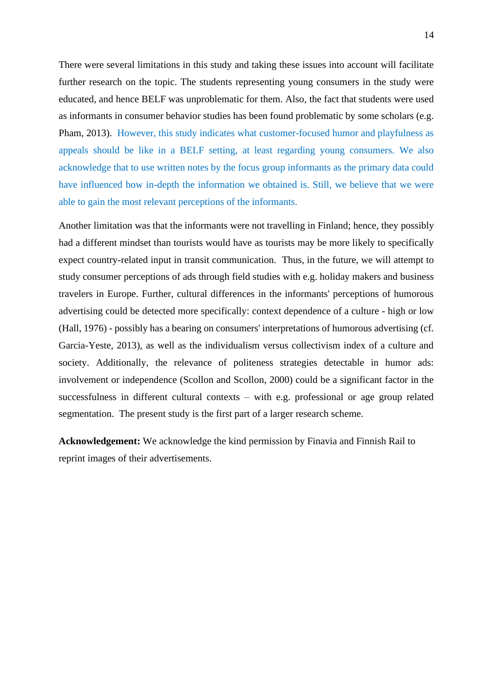There were several limitations in this study and taking these issues into account will facilitate further research on the topic. The students representing young consumers in the study were educated, and hence BELF was unproblematic for them. Also, the fact that students were used as informants in consumer behavior studies has been found problematic by some scholars (e.g. Pham, 2013). However, this study indicates what customer-focused humor and playfulness as appeals should be like in a BELF setting, at least regarding young consumers. We also acknowledge that to use written notes by the focus group informants as the primary data could have influenced how in-depth the information we obtained is. Still, we believe that we were able to gain the most relevant perceptions of the informants.

Another limitation was that the informants were not travelling in Finland; hence, they possibly had a different mindset than tourists would have as tourists may be more likely to specifically expect country-related input in transit communication. Thus, in the future, we will attempt to study consumer perceptions of ads through field studies with e.g. holiday makers and business travelers in Europe. Further, cultural differences in the informants' perceptions of humorous advertising could be detected more specifically: context dependence of a culture - high or low (Hall, 1976) - possibly has a bearing on consumers' interpretations of humorous advertising (cf. Garcia-Yeste, 2013), as well as the individualism versus collectivism index of a culture and society. Additionally, the relevance of politeness strategies detectable in humor ads: involvement or independence (Scollon and Scollon, 2000) could be a significant factor in the successfulness in different cultural contexts – with e.g. professional or age group related segmentation. The present study is the first part of a larger research scheme.

**Acknowledgement:** We acknowledge the kind permission by Finavia and Finnish Rail to reprint images of their advertisements.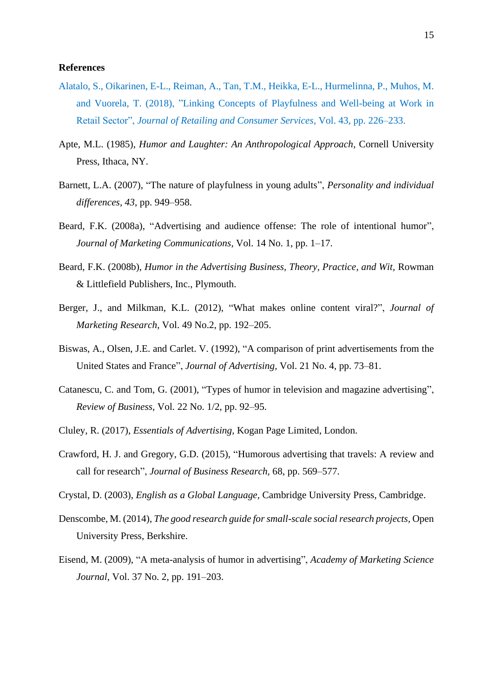## **References**

- Alatalo, S., Oikarinen, E-L., Reiman, A., Tan, T.M., Heikka, E-L., Hurmelinna, P., Muhos, M. and Vuorela, T. (2018), "Linking Concepts of Playfulness and Well-being at Work in Retail Sector", *Journal of Retailing and Consumer Services*, Vol. 43, pp. 226–233.
- Apte, M.L. (1985), *Humor and Laughter: An Anthropological Approach,* Cornell University Press, Ithaca, NY.
- Barnett, L.A. (2007), "The nature of playfulness in young adults", *Personality and individual differences, 43*, pp. 949–958.
- Beard, F.K. (2008a), "Advertising and audience offense: The role of intentional humor", *Journal of Marketing Communications,* Vol. 14 No. 1, pp. 1–17.
- Beard, F.K. (2008b), *Humor in the Advertising Business, Theory, Practice, and Wit,* Rowman & Littlefield Publishers, Inc., Plymouth.
- Berger, J., and Milkman, K.L. (2012), "What makes online content viral?", *Journal of Marketing Research,* Vol. 49 No.2, pp. 192–205.
- Biswas, A., Olsen, J.E. and Carlet. V. (1992), "A comparison of print advertisements from the United States and France", *Journal of Advertising,* Vol. 21 No. 4, pp. 73–81.
- Catanescu, C. and Tom, G. (2001), "Types of humor in television and magazine advertising", *Review of Business*, Vol. 22 No. 1/2, pp. 92–95.
- Cluley, R. (2017), *Essentials of Advertising,* Kogan Page Limited, London.
- Crawford, H. J. and Gregory, G.D. (2015), "Humorous advertising that travels: A review and call for research", *Journal of Business Research,* 68, pp. 569–577.
- Crystal, D. (2003), *English as a Global Language,* Cambridge University Press, Cambridge.
- Denscombe, M. (2014), *The good research guide for small-scale social research projects,* Open University Press, Berkshire.
- Eisend, M. (2009), "A meta-analysis of humor in advertising", *Academy of Marketing Science Journal,* Vol. 37 No. 2, pp. 191–203.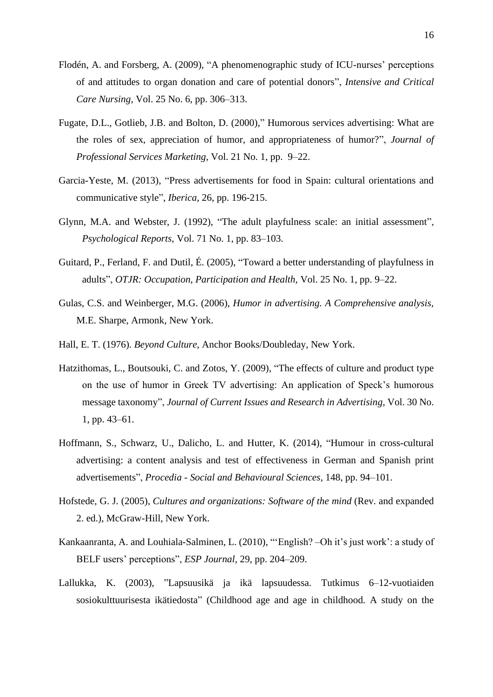- Flodén, A. and Forsberg, A. (2009), "A phenomenographic study of ICU-nurses' perceptions of and attitudes to organ donation and care of potential donors", *Intensive and Critical Care Nursing,* Vol. 25 No. 6, pp. 306–313.
- Fugate, D.L., Gotlieb, J.B. and Bolton, D. (2000)," Humorous services advertising: What are the roles of sex, appreciation of humor, and appropriateness of humor?", *Journal of Professional Services Marketing,* Vol. 21 No. 1, pp. 9–22.
- Garcia-Yeste, M. (2013), "Press advertisements for food in Spain: cultural orientations and communicative style", *Iberica*, 26, pp. 196-215.
- Glynn, M.A. and Webster, J. (1992), "The adult playfulness scale: an initial assessment", *Psychological Reports,* Vol. 71 No. 1, pp. 83–103.
- Guitard, P., Ferland, F. and Dutil, É. (2005), "Toward a better understanding of playfulness in adults", *OTJR: Occupation, Participation and Health,* Vol. 25 No. 1, pp. 9–22.
- Gulas, C.S. and Weinberger, M.G. (2006), *Humor in advertising. A Comprehensive analysis,* M.E. Sharpe, Armonk, New York.
- Hall, E. T. (1976). *Beyond Culture,* Anchor Books/Doubleday, New York.
- Hatzithomas, L., Boutsouki, C. and Zotos, Y. (2009), "The effects of culture and product type on the use of humor in Greek TV advertising: An application of Speck's humorous message taxonomy", *Journal of Current Issues and Research in Advertising,* Vol. 30 No. 1, pp. 43–61.
- Hoffmann, S., Schwarz, U., Dalicho, L. and Hutter, K. (2014), "Humour in cross-cultural advertising: a content analysis and test of effectiveness in German and Spanish print advertisements", *Procedia - Social and Behavioural Sciences,* 148, pp. 94–101.
- Hofstede, G. J. (2005), *Cultures and organizations: Software of the mind* (Rev. and expanded 2. ed.), McGraw-Hill, New York.
- Kankaanranta, A. and Louhiala-Salminen, L. (2010), "'English? –Oh it's just work': a study of BELF users' perceptions", *ESP Journal,* 29, pp. 204–209.
- Lallukka, K. (2003), "Lapsuusikä ja ikä lapsuudessa. Tutkimus 6–12-vuotiaiden sosiokulttuurisesta ikätiedosta" (Childhood age and age in childhood. A study on the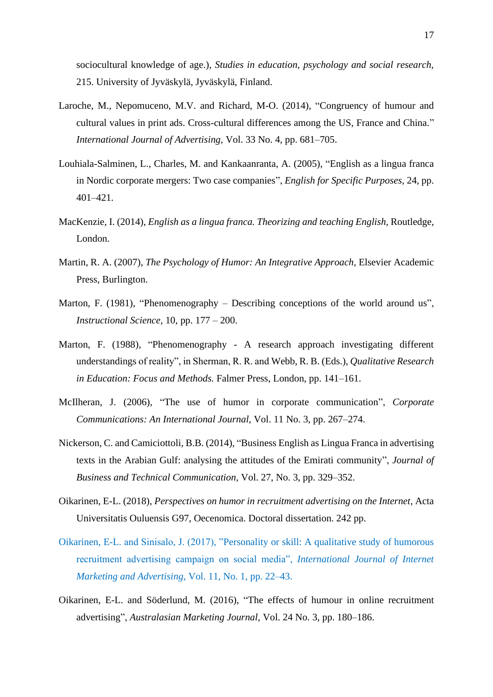sociocultural knowledge of age.), *Studies in education, psychology and social research,* 215. University of Jyväskylä, Jyväskylä, Finland.

- Laroche, M., Nepomuceno, M.V. and Richard, M-O. (2014), "Congruency of humour and cultural values in print ads. Cross-cultural differences among the US, France and China." *International Journal of Advertising,* Vol. 33 No. 4, pp. 681–705.
- Louhiala-Salminen, L., Charles, M. and Kankaanranta, A. (2005), "English as a lingua franca in Nordic corporate mergers: Two case companies", *English for Specific Purposes,* 24, pp. 401–421.
- MacKenzie, I. (2014), *English as a lingua franca. Theorizing and teaching English,* Routledge, London.
- Martin, R. A. (2007), *The Psychology of Humor: An Integrative Approach,* Elsevier Academic Press, Burlington.
- Marton, F. (1981), "Phenomenography Describing conceptions of the world around us", *Instructional Science,* 10, pp. 177 – 200.
- Marton, F. (1988), "Phenomenography A research approach investigating different understandings of reality", in Sherman, R. R. and Webb, R. B. (Eds.), *Qualitative Research in Education: Focus and Methods.* Falmer Press, London, pp. 141–161.
- McIlheran, J. (2006), "The use of humor in corporate communication", *Corporate Communications: An International Journal,* Vol. 11 No. 3, pp. 267–274.
- Nickerson, C. and Camiciottoli, B.B. (2014), "Business English as Lingua Franca in advertising texts in the Arabian Gulf: analysing the attitudes of the Emirati community", *Journal of Business and Technical Communication,* Vol. 27, No. 3, pp. 329–352.
- Oikarinen, E-L. (2018), *Perspectives on humor in recruitment advertising on the Internet,* Acta Universitatis Ouluensis G97, Oecenomica. Doctoral dissertation. 242 pp.
- Oikarinen, E-L. and Sinisalo, J. (2017), "Personality or skill: A qualitative study of humorous recruitment advertising campaign on social media", *International Journal of Internet Marketing and Advertising*, Vol. 11, No. 1, pp. 22–43.
- Oikarinen, E-L. and Söderlund, M. (2016), "The effects of humour in online recruitment advertising", *Australasian Marketing Journal,* Vol. 24 No. 3, pp. 180–186.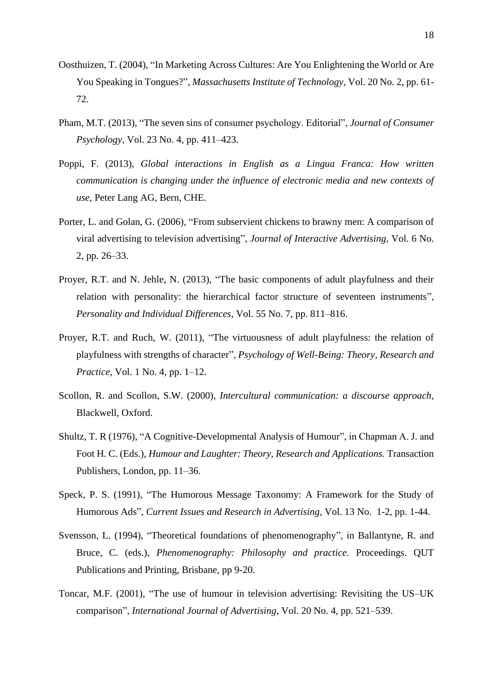- Oosthuizen, T. (2004), "In Marketing Across Cultures: Are You Enlightening the World or Are You Speaking in Tongues?", *Massachusetts Institute of Technology,* Vol. 20 No. 2, pp. 61- 72.
- Pham, M.T. (2013), "The seven sins of consumer psychology. Editorial", *Journal of Consumer Psychology,* Vol. 23 No. 4, pp. 411–423.
- Poppi, F. (2013), *Global interactions in English as a Lingua Franca: How written communication is changing under the influence of electronic media and new contexts of use,* Peter Lang AG, Bern, CHE.
- Porter, L. and Golan, G. (2006), "From subservient chickens to brawny men: A comparison of viral advertising to television advertising", *Journal of Interactive Advertising,* Vol. 6 No. 2, pp. 26–33.
- Proyer, R.T. and N. Jehle, N. (2013), "The basic components of adult playfulness and their relation with personality: the hierarchical factor structure of seventeen instruments", *Personality and Individual Differences,* Vol. 55 No. 7, pp. 811–816.
- Proyer, R.T. and Ruch, W. (2011), "The virtuousness of adult playfulness: the relation of playfulness with strengths of character", *Psychology of Well-Being: Theory, Research and Practice,* Vol. 1 No. 4, pp. 1–12.
- Scollon, R. and Scollon, S.W. (2000), *Intercultural communication: a discourse approach,* Blackwell, Oxford.
- Shultz, T. R (1976), "A Cognitive-Developmental Analysis of Humour", in Chapman A. J. and Foot H. C. (Eds.), *Humour and Laughter: Theory, Research and Applications.* Transaction Publishers, London, pp. 11–36.
- Speck, P. S. (1991), "The Humorous Message Taxonomy: A Framework for the Study of Humorous Ads", *Current Issues and Research in Advertising,* Vol. 13 No. 1-2, pp. 1-44.
- Svensson, L. (1994), "Theoretical foundations of phenomenography", in Ballantyne, R. and Bruce, C. (eds.), *Phenomenography: Philosophy and practice.* Proceedings. QUT Publications and Printing, Brisbane, pp 9-20.
- Toncar, M.F. (2001), "The use of humour in television advertising: Revisiting the US–UK comparison", *International Journal of Advertising*, Vol. 20 No. 4, pp. 521–539.